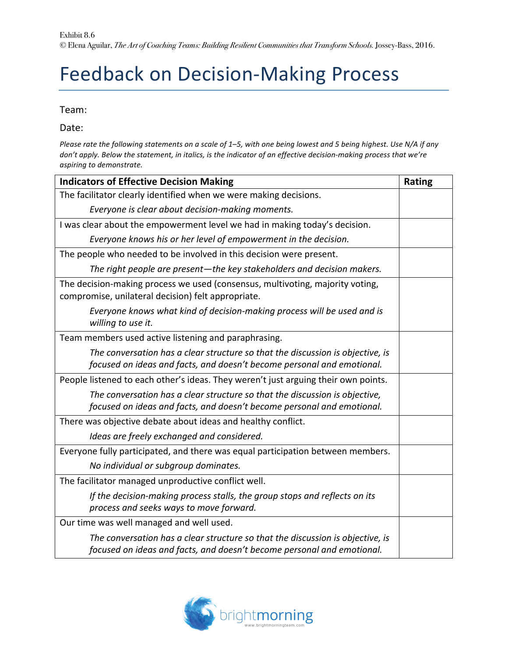## Feedback on Decision-Making Process

Team:

Date:

*Please rate the following statements on a scale of 1–5, with one being lowest and 5 being highest. Use N/A if any* don't apply. Below the statement, in italics, is the indicator of an effective decision-making process that we're *aspiring to demonstrate.*

| <b>Indicators of Effective Decision Making</b>                                                                                                           | <b>Rating</b> |
|----------------------------------------------------------------------------------------------------------------------------------------------------------|---------------|
| The facilitator clearly identified when we were making decisions.                                                                                        |               |
| Everyone is clear about decision-making moments.                                                                                                         |               |
| I was clear about the empowerment level we had in making today's decision.                                                                               |               |
| Everyone knows his or her level of empowerment in the decision.                                                                                          |               |
| The people who needed to be involved in this decision were present.                                                                                      |               |
| The right people are present-the key stakeholders and decision makers.                                                                                   |               |
| The decision-making process we used (consensus, multivoting, majority voting,<br>compromise, unilateral decision) felt appropriate.                      |               |
| Everyone knows what kind of decision-making process will be used and is<br>willing to use it.                                                            |               |
| Team members used active listening and paraphrasing.                                                                                                     |               |
| The conversation has a clear structure so that the discussion is objective, is                                                                           |               |
| focused on ideas and facts, and doesn't become personal and emotional.                                                                                   |               |
| People listened to each other's ideas. They weren't just arguing their own points.                                                                       |               |
| The conversation has a clear structure so that the discussion is objective,                                                                              |               |
| focused on ideas and facts, and doesn't become personal and emotional.                                                                                   |               |
| There was objective debate about ideas and healthy conflict.                                                                                             |               |
| Ideas are freely exchanged and considered.                                                                                                               |               |
| Everyone fully participated, and there was equal participation between members.                                                                          |               |
| No individual or subgroup dominates.                                                                                                                     |               |
| The facilitator managed unproductive conflict well.                                                                                                      |               |
| If the decision-making process stalls, the group stops and reflects on its<br>process and seeks ways to move forward.                                    |               |
| Our time was well managed and well used.                                                                                                                 |               |
| The conversation has a clear structure so that the discussion is objective, is<br>focused on ideas and facts, and doesn't become personal and emotional. |               |